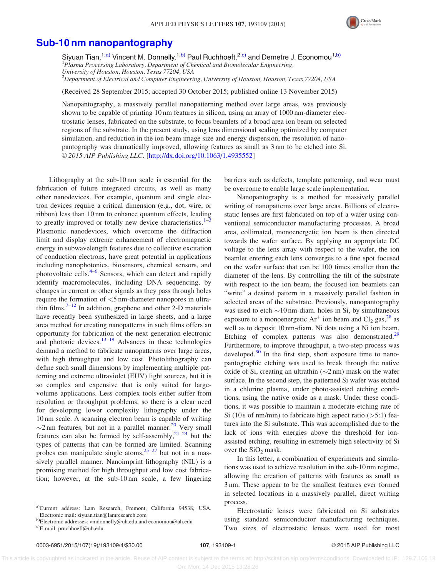

## [Sub-10 nm nanopantography](http://dx.doi.org/10.1063/1.4935552)

Siyuan Tian,<sup>1,a)</sup> Vincent M. Donnelly,<sup>1,b)</sup> Paul Ruchhoeft,<sup>2,c)</sup> and Demetre J. Economou<sup>1,b)</sup> <sup>1</sup>Plasma Processing Laboratory, Department of Chemical and Biomolecular Engineering, University of Houston, Houston, Texas 77204, USA  $^{2}$ Department of Electrical and Computer Engineering, University of Houston, Houston, Texas 77204, USA

(Received 28 September 2015; accepted 30 October 2015; published online 13 November 2015)

Nanopantography, a massively parallel nanopatterning method over large areas, was previously shown to be capable of printing 10 nm features in silicon, using an array of 1000 nm-diameter electrostatic lenses, fabricated on the substrate, to focus beamlets of a broad area ion beam on selected regions of the substrate. In the present study, using lens dimensional scaling optimized by computer simulation, and reduction in the ion beam image size and energy dispersion, the resolution of nanopantography was dramatically improved, allowing features as small as 3 nm to be etched into Si. © 2015 AIP Publishing LLC. [[http://dx.doi.org/10.1063/1.4935552\]](http://dx.doi.org/10.1063/1.4935552)

Lithography at the sub-10 nm scale is essential for the fabrication of future integrated circuits, as well as many other nanodevices. For example, quantum and single electron devices require a critical dimension (e.g., dot, wire, or ribbon) less than 10 nm to enhance quantum effects, leading to greatly improved or totally new device characteristics. $1^{-3}$ Plasmonic nanodevices, which overcome the diffraction limit and display extreme enhancement of electromagnetic energy in subwavelength features due to collective excitation of conduction electrons, have great potential in applications including nanophotonics, biosensors, chemical sensors, and photovoltaic cells.<sup>[4–6](#page-3-0)</sup> Sensors, which can detect and rapidly identify macromolecules, including DNA sequencing, by changes in current or other signals as they pass through holes require the formation of <5 nm-diameter nanopores in ultra-thin films.<sup>[7–12](#page-3-0)</sup> In addition, graphene and other 2-D materials have recently been synthesized in large sheets, and a large area method for creating nanopatterns in such films offers an opportunity for fabrication of the next generation electronic and photonic devices.<sup>[13–19](#page-3-0)</sup> Advances in these technologies demand a method to fabricate nanopatterns over large areas, with high throughput and low cost. Photolithography can define such small dimensions by implementing multiple patterning and extreme ultraviolet (EUV) light sources, but it is so complex and expensive that is only suited for largevolume applications. Less complex tools either suffer from resolution or throughput problems, so there is a clear need for developing lower complexity lithography under the 10 nm scale. A scanning electron beam is capable of writing  $\sim$ 2 nm features, but not in a parallel manner.<sup>[20](#page-3-0)</sup> Very small features can also be formed by self-assembly,  $2^{1-24}$  $2^{1-24}$  $2^{1-24}$  but the types of patterns that can be formed are limited. Scanning probes can manipulate single atoms, $25-27$  but not in a massively parallel manner. Nanoimprint lithography (NIL) is a promising method for high throughput and low cost fabrication; however, at the sub-10 nm scale, a few lingering

barriers such as defects, template patterning, and wear must be overcome to enable large scale implementation.

Nanopantography is a method for massively parallel writing of nanopatterns over large areas. Billions of electrostatic lenses are first fabricated on top of a wafer using conventional semiconductor manufacturing processes. A broad area, collimated, monoenergetic ion beam is then directed towards the wafer surface. By applying an appropriate DC voltage to the lens array with respect to the wafer, the ion beamlet entering each lens converges to a fine spot focused on the wafer surface that can be 100 times smaller than the diameter of the lens. By controlling the tilt of the substrate with respect to the ion beam, the focused ion beamlets can "write" a desired pattern in a massively parallel fashion in selected areas of the substrate. Previously, nanopantography was used to etch  $\sim$ 10 nm-diam. holes in Si, by simultaneous exposure to a monoenergetic  $Ar^+$  ion beam and Cl<sub>2</sub> gas,  $^{28}$  as well as to deposit 10 nm-diam. Ni dots using a Ni ion beam. Etching of complex patterns was also demonstrated.<sup>[29](#page-3-0)</sup> Furthermore, to improve throughput, a two-step process was developed. $30$  In the first step, short exposure time to nanopantographic etching was used to break through the native oxide of Si, creating an ultrathin  $(\sim 2 \text{ nm})$  mask on the wafer surface. In the second step, the patterned Si wafer was etched in a chlorine plasma, under photo-assisted etching conditions, using the native oxide as a mask. Under these conditions, it was possible to maintain a moderate etching rate of Si (10 s of nm/min) to fabricate high aspect ratio  $($ >5:1) features into the Si substrate. This was accomplished due to the lack of ions with energies above the threshold for ionassisted etching, resulting in extremely high selectivity of Si over the  $SiO<sub>2</sub>$  mask.

In this letter, a combination of experiments and simulations was used to achieve resolution in the sub-10 nm regime, allowing the creation of patterns with features as small as 3 nm. These appear to be the smallest features ever formed in selected locations in a massively parallel, direct writing process.

Electrostatic lenses were fabricated on Si substrates using standard semiconductor manufacturing techniques. Two sizes of electrostatic lenses were used for most

 This article is copyrighted as indicated in the article. Reuse of AIP content is subject to the terms at: http://scitation.aip.org/termsconditions. Downloaded to IP: 129.7.106.18 On: Mon, 14 Dec 2015 13:28:26

a)Current address: Lam Research, Fremont, California 94538, USA. Electronic mail: [siyuan.tian@lamresearch.com](mailto:siyuan.tian@lamresearch.com)

b)Electronic addresses: [vmdonnelly@uh.edu](mailto:vmdonnelly@uh.edu) and [economou@uh.edu](mailto:economou@uh.edu)

c)E-mail: [pruchhoeft@uh.edu](mailto:pruchhoeft@uh.edu)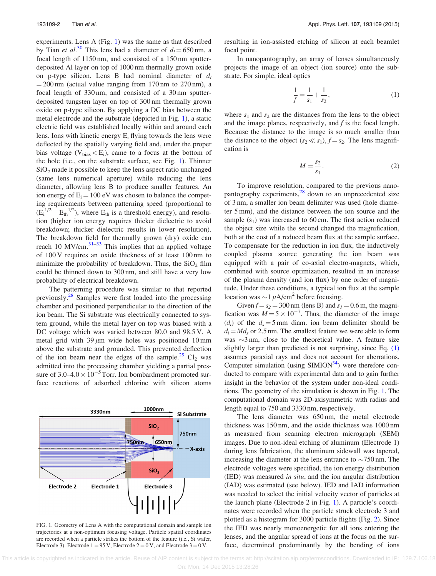experiments. Lens A (Fig. 1) was the same as that described by Tian *et al.*<sup>[30](#page-3-0)</sup> This lens had a diameter of  $d_l = 650$  nm, a focal length of 1150 nm, and consisted of a 150 nm sputterdeposited Al layer on top of 1000 nm thermally grown oxide on p-type silicon. Lens B had nominal diameter of  $d_l$  $= 200$  nm (actual value ranging from 170 nm to 270 nm), a focal length of 330 nm, and consisted of a 30 nm sputterdeposited tungsten layer on top of 300 nm thermally grown oxide on p-type silicon. By applying a DC bias between the metal electrode and the substrate (depicted in Fig. 1), a static electric field was established locally within and around each lens. Ions with kinetic energy  $E_i$  flying towards the lens were deflected by the spatially varying field and, under the proper bias voltage ( $V_{bias} < E_i$ ), came to a focus at the bottom of the hole (i.e., on the substrate surface, see Fig. 1). Thinner  $SiO<sub>2</sub>$  made it possible to keep the lens aspect ratio unchanged (same lens numerical aperture) while reducing the lens diameter, allowing lens B to produce smaller features. An ion energy of  $E_i = 100$  eV was chosen to balance the competing requirements between patterning speed (proportional to  $(E_i^{1/2} - E_{\text{th}}^{1/2})$ , where  $E_{\text{th}}$  is a threshold energy), and resolution (higher ion energy requires thicker dielectric to avoid breakdown; thicker dielectric results in lower resolution). The breakdown field for thermally grown (dry) oxide can reach 10 MV/cm. $31-33$  This implies that an applied voltage of 100 V requires an oxide thickness of at least 100 nm to minimize the probability of breakdown. Thus, the  $SiO<sub>2</sub>$  film could be thinned down to 300 nm, and still have a very low probability of electrical breakdown.

The patterning procedure was similar to that reported previously.<sup>[28](#page-3-0)</sup> Samples were first loaded into the processing chamber and positioned perpendicular to the direction of the ion beam. The Si substrate was electrically connected to system ground, while the metal layer on top was biased with a DC voltage which was varied between 80.0 and 98.5 V. A metal grid with 39  $\mu$ m wide holes was positioned 10 mm above the substrate and grounded. This prevented deflection of the ion beam near the edges of the sample.<sup>[29](#page-3-0)</sup> Cl<sub>2</sub> was admitted into the processing chamber yielding a partial pressure of  $3.0 - 4.0 \times 10^{-5}$  Torr. Ion bombardment promoted surface reactions of adsorbed chlorine with silicon atoms



FIG. 1. Geometry of Lens A with the computational domain and sample ion trajectories at a non-optimum focusing voltage. Particle spatial coordinates are recorded when a particle strikes the bottom of the feature (i.e., Si wafer, Electrode 3). Electrode  $1 = 95$  V, Electrode  $2 = 0$  V, and Electrode  $3 = 0$  V.

resulting in ion-assisted etching of silicon at each beamlet focal point.

In nanopantography, an array of lenses simultaneously projects the image of an object (ion source) onto the substrate. For simple, ideal optics

$$
\frac{1}{f} = \frac{1}{s_1} + \frac{1}{s_2},\tag{1}
$$

where  $s_1$  and  $s_2$  are the distances from the lens to the object and the image planes, respectively, and  $f$  is the focal length. Because the distance to the image is so much smaller than the distance to the object  $(s_2 \ll s_1)$ ,  $f = s_2$ . The lens magnification is

$$
M = \frac{s_2}{s_1}.\tag{2}
$$

To improve resolution, compared to the previous nanopantography experiments, $28$  down to an unprecedented size of 3 nm, a smaller ion beam delimiter was used (hole diameter 5 mm), and the distance between the ion source and the sample  $(s_1)$  was increased to 60 cm. The first action reduced the object size while the second changed the magnification, both at the cost of a reduced beam flux at the sample surface. To compensate for the reduction in ion flux, the inductively coupled plasma source generating the ion beam was equipped with a pair of co-axial electro-magnets, which, combined with source optimization, resulted in an increase of the plasma density (and ion flux) by one order of magnitude. Under these conditions, a typical ion flux at the sample location was  $\sim$ 1  $\mu$ A/cm<sup>2</sup> before focusing.

Given  $f = s_2 = 300$  nm (lens B) and  $s_1 = 0.6$  m, the magnification was  $M = 5 \times 10^{-7}$ . Thus, the diameter of the image (d<sub>i</sub>) of the  $d_s = 5$  mm diam. ion beam delimiter should be  $d_i = Md_s$  or 2.5 nm. The smallest feature we were able to form was  $\sim$ 3 nm, close to the theoretical value. A feature size slightly larger than predicted is not surprising, since Eq. (1) assumes paraxial rays and does not account for aberrations. Computer simulation (using  $SIMION^{34}$  $SIMION^{34}$  $SIMION^{34}$ ) were therefore conducted to compare with experimental data and to gain further insight in the behavior of the system under non-ideal conditions. The geometry of the simulation is shown in Fig. 1. The computational domain was 2D-axisymmetric with radius and length equal to 750 and 3330 nm, respectively.

The lens diameter was 650 nm, the metal electrode thickness was 150 nm, and the oxide thickness was 1000 nm as measured from scanning electron micrograph (SEM) images. Due to non-ideal etching of aluminum (Electrode 1) during lens fabrication, the aluminum sidewall was tapered, increasing the diameter at the lens entrance to  $\sim$ 750 nm. The electrode voltages were specified, the ion energy distribution (IED) was measured in situ, and the ion angular distribution (IAD) was estimated (see below). IED and IAD information was needed to select the initial velocity vector of particles at the launch plane (Electrode 2 in Fig. 1). A particle's coordinates were recorded when the particle struck electrode 3 and plotted as a histogram for 3000 particle flights (Fig. [2](#page-2-0)). Since the IED was nearly monoenergetic for all ions entering the lenses, and the angular spread of ions at the focus on the surface, determined predominantly by the bending of ions

 This article is copyrighted as indicated in the article. Reuse of AIP content is subject to the terms at: http://scitation.aip.org/termsconditions. Downloaded to IP: 129.7.106.18 On: Mon, 14 Dec 2015 13:28:26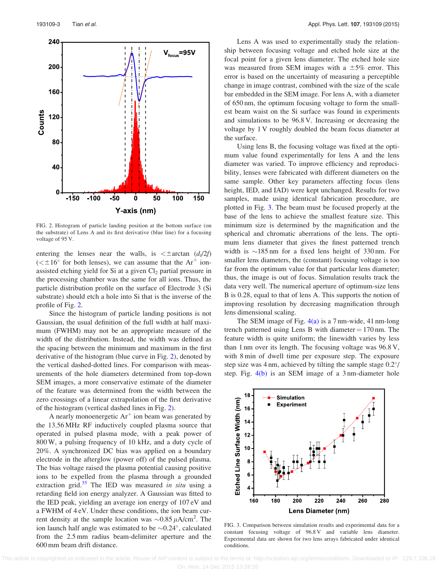<span id="page-2-0"></span>

FIG. 2. Histogram of particle landing position at the bottom surface (on the substrate) of Lens A and its first derivative (blue line) for a focusing voltage of 95 V.

entering the lenses near the walls, is  $\lt$  ± arctan  $(d_1/2f)$  $( $\pm 16^{\circ}$  for both lenses), we can assume that the Ar<sup>+</sup> ion$ assisted etching yield for Si at a given  $Cl<sub>2</sub>$  partial pressure in the processing chamber was the same for all ions. Thus, the particle distribution profile on the surface of Electrode 3 (Si substrate) should etch a hole into Si that is the inverse of the profile of Fig. 2.

Since the histogram of particle landing positions is not Gaussian, the usual definition of the full width at half maximum (FWHM) may not be an appropriate measure of the width of the distribution. Instead, the width was defined as the spacing between the minimum and maximum in the first derivative of the histogram (blue curve in Fig. 2), denoted by the vertical dashed-dotted lines. For comparison with measurements of the hole diameters determined from top-down SEM images, a more conservative estimate of the diameter of the feature was determined from the width between the zero crossings of a linear extrapolation of the first derivative of the histogram (vertical dashed lines in Fig. 2).

A nearly monoenergetic  $Ar^+$  ion beam was generated by the 13.56 MHz RF inductively coupled plasma source that operated in pulsed plasma mode, with a peak power of 800 W, a pulsing frequency of 10 kHz, and a duty cycle of 20%. A synchronized DC bias was applied on a boundary electrode in the afterglow (power off) of the pulsed plasma. The bias voltage raised the plasma potential causing positive ions to be expelled from the plasma through a grounded extraction grid. $35$  The IED was measured in situ using a retarding field ion energy analyzer. A Gaussian was fitted to the IED peak, yielding an average ion energy of 107 eV and a FWHM of 4 eV. Under these conditions, the ion beam current density at the sample location was  $\sim 0.85 \mu A/cm^2$ . The ion launch half angle was estimated to be  $\sim 0.24^{\circ}$ , calculated from the 2.5 mm radius beam-delimiter aperture and the 600 mm beam drift distance.

Lens A was used to experimentally study the relationship between focusing voltage and etched hole size at the focal point for a given lens diameter. The etched hole size was measured from SEM images with a  $\pm 5\%$  error. This error is based on the uncertainty of measuring a perceptible change in image contrast, combined with the size of the scale bar embedded in the SEM image. For lens A, with a diameter of 650 nm, the optimum focusing voltage to form the smallest beam waist on the Si surface was found in experiments and simulations to be 96.8 V. Increasing or decreasing the voltage by 1 V roughly doubled the beam focus diameter at the surface.

Using lens B, the focusing voltage was fixed at the optimum value found experimentally for lens A and the lens diameter was varied. To improve efficiency and reproducibility, lenses were fabricated with different diameters on the same sample. Other key parameters affecting focus (lens height, IED, and IAD) were kept unchanged. Results for two samples, made using identical fabrication procedure, are plotted in Fig. 3. The beam must be focused properly at the base of the lens to achieve the smallest feature size. This minimum size is determined by the magnification and the spherical and chromatic aberrations of the lens. The optimum lens diameter that gives the finest patterned trench width is  $\sim$ 185 nm for a fixed lens height of 330 nm. For smaller lens diameters, the (constant) focusing voltage is too far from the optimum value for that particular lens diameter; thus, the image is out of focus. Simulation results track the data very well. The numerical aperture of optimum-size lens B is 0.28, equal to that of lens A. This supports the notion of improving resolution by decreasing magnification through lens dimensional scaling.

The SEM image of Fig. [4\(a\)](#page-3-0) is a 7 nm-wide, 41 nm-long trench patterned using Lens B with diameter  $= 170$  nm. The feature width is quite uniform; the linewidth varies by less than 1 nm over its length. The focusing voltage was 96.8 V, with 8 min of dwell time per exposure step. The exposure step size was 4 nm, achieved by tilting the sample stage  $0.2^{\circ}/$ step. Fig. [4\(b\)](#page-3-0) is an SEM image of a 3 nm-diameter hole



FIG. 3. Comparison between simulation results and experimental data for a constant focusing voltage of 96.8 V and variable lens diameter. Experimental data are shown for two lens arrays fabricated under identical conditions.

 This article is copyrighted as indicated in the article. Reuse of AIP content is subject to the terms at: http://scitation.aip.org/termsconditions. Downloaded to IP: 129.7.106.18 On: Mon, 14 Dec 2015 13:28:26